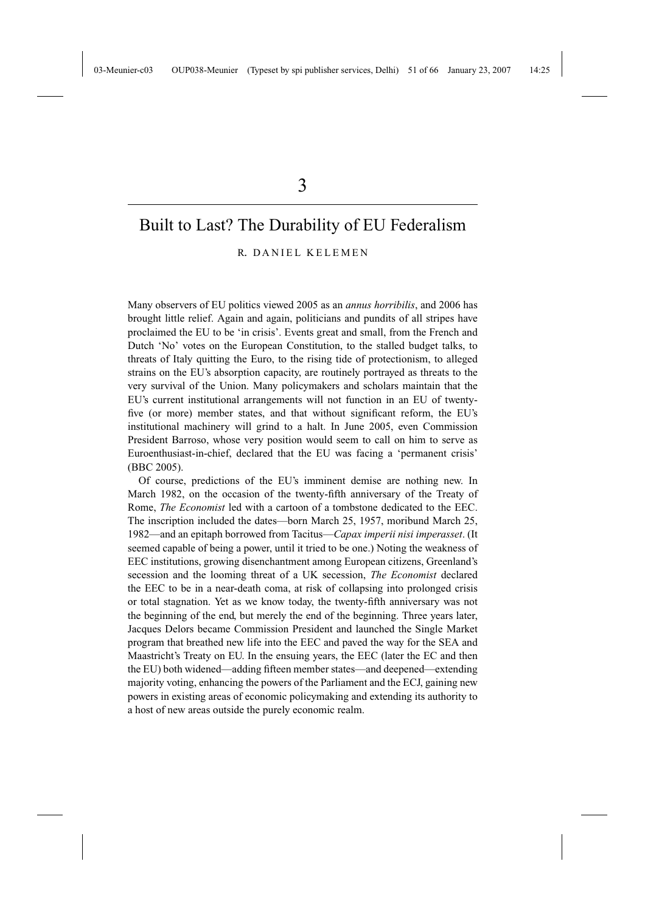3

# Built to Last? The Durability of EU Federalism

R. DANIEL KELEMEN

Many observers of EU politics viewed 2005 as an *annus horribilis*, and 2006 has brought little relief. Again and again, politicians and pundits of all stripes have proclaimed the EU to be 'in crisis'. Events great and small, from the French and Dutch 'No' votes on the European Constitution, to the stalled budget talks, to threats of Italy quitting the Euro, to the rising tide of protectionism, to alleged strains on the EU's absorption capacity, are routinely portrayed as threats to the very survival of the Union. Many policymakers and scholars maintain that the EU's current institutional arrangements will not function in an EU of twentyfive (or more) member states, and that without significant reform, the EU's institutional machinery will grind to a halt. In June 2005, even Commission President Barroso, whose very position would seem to call on him to serve as Euroenthusiast-in-chief, declared that the EU was facing a 'permanent crisis' (BBC 2005).

Of course, predictions of the EU's imminent demise are nothing new. In March 1982, on the occasion of the twenty-fifth anniversary of the Treaty of Rome, *The Economist* led with a cartoon of a tombstone dedicated to the EEC. The inscription included the dates—born March 25, 1957, moribund March 25, 1982—and an epitaph borrowed from Tacitus—*Capax imperii nisi imperasset*. (It seemed capable of being a power, until it tried to be one.) Noting the weakness of EEC institutions, growing disenchantment among European citizens, Greenland's secession and the looming threat of a UK secession, *The Economist* declared the EEC to be in a near-death coma, at risk of collapsing into prolonged crisis or total stagnation. Yet as we know today, the twenty-fifth anniversary was not the beginning of the end, but merely the end of the beginning. Three years later, Jacques Delors became Commission President and launched the Single Market program that breathed new life into the EEC and paved the way for the SEA and Maastricht's Treaty on EU. In the ensuing years, the EEC (later the EC and then the EU) both widened—adding fifteen member states—and deepened—extending majority voting, enhancing the powers of the Parliament and the ECJ, gaining new powers in existing areas of economic policymaking and extending its authority to a host of new areas outside the purely economic realm.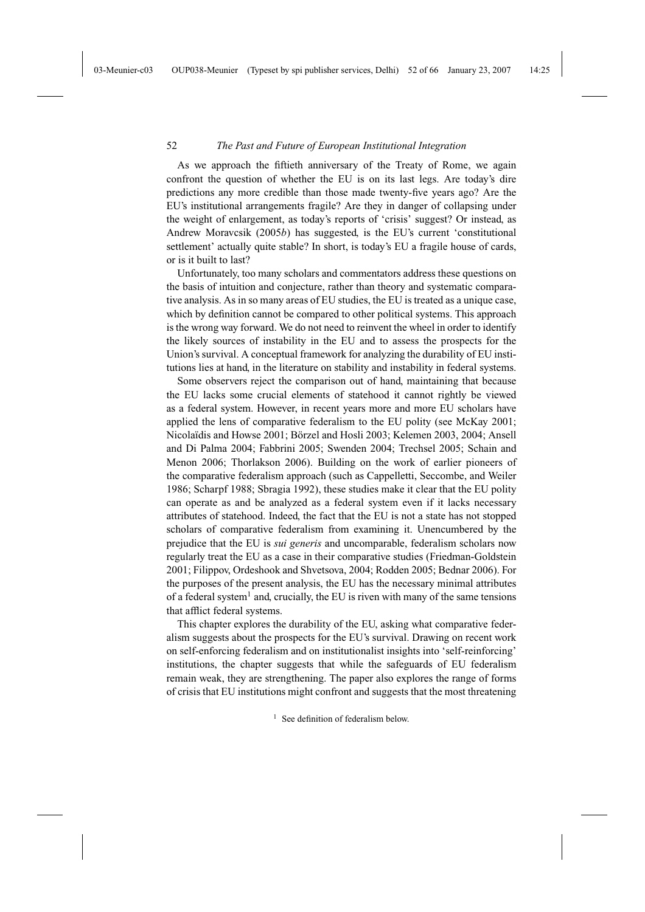As we approach the fiftieth anniversary of the Treaty of Rome, we again confront the question of whether the EU is on its last legs. Are today's dire predictions any more credible than those made twenty-five years ago? Are the EU's institutional arrangements fragile? Are they in danger of collapsing under the weight of enlargement, as today's reports of 'crisis' suggest? Or instead, as Andrew Moravcsik (2005*b*) has suggested, is the EU's current 'constitutional settlement' actually quite stable? In short, is today's EU a fragile house of cards, or is it built to last?

Unfortunately, too many scholars and commentators address these questions on the basis of intuition and conjecture, rather than theory and systematic comparative analysis. As in so many areas of EU studies, the EU is treated as a unique case, which by definition cannot be compared to other political systems. This approach is the wrong way forward. We do not need to reinvent the wheel in order to identify the likely sources of instability in the EU and to assess the prospects for the Union's survival. A conceptual framework for analyzing the durability of EU institutions lies at hand, in the literature on stability and instability in federal systems.

Some observers reject the comparison out of hand, maintaining that because the EU lacks some crucial elements of statehood it cannot rightly be viewed as a federal system. However, in recent years more and more EU scholars have applied the lens of comparative federalism to the EU polity (see McKay 2001; Nicolaïdis and Howse 2001; Börzel and Hosli 2003; Kelemen 2003, 2004; Ansell and Di Palma 2004; Fabbrini 2005; Swenden 2004; Trechsel 2005; Schain and Menon 2006; Thorlakson 2006). Building on the work of earlier pioneers of the comparative federalism approach (such as Cappelletti, Seccombe, and Weiler 1986; Scharpf 1988; Sbragia 1992), these studies make it clear that the EU polity can operate as and be analyzed as a federal system even if it lacks necessary attributes of statehood. Indeed, the fact that the EU is not a state has not stopped scholars of comparative federalism from examining it. Unencumbered by the prejudice that the EU is *sui generis* and uncomparable, federalism scholars now regularly treat the EU as a case in their comparative studies (Friedman-Goldstein 2001; Filippov, Ordeshook and Shvetsova, 2004; Rodden 2005; Bednar 2006). For the purposes of the present analysis, the EU has the necessary minimal attributes of a federal system<sup>1</sup> and, crucially, the EU is riven with many of the same tensions that afflict federal systems.

This chapter explores the durability of the EU, asking what comparative federalism suggests about the prospects for the EU's survival. Drawing on recent work on self-enforcing federalism and on institutionalist insights into 'self-reinforcing' institutions, the chapter suggests that while the safeguards of EU federalism remain weak, they are strengthening. The paper also explores the range of forms of crisis that EU institutions might confront and suggests that the most threatening

<sup>1</sup> See definition of federalism below.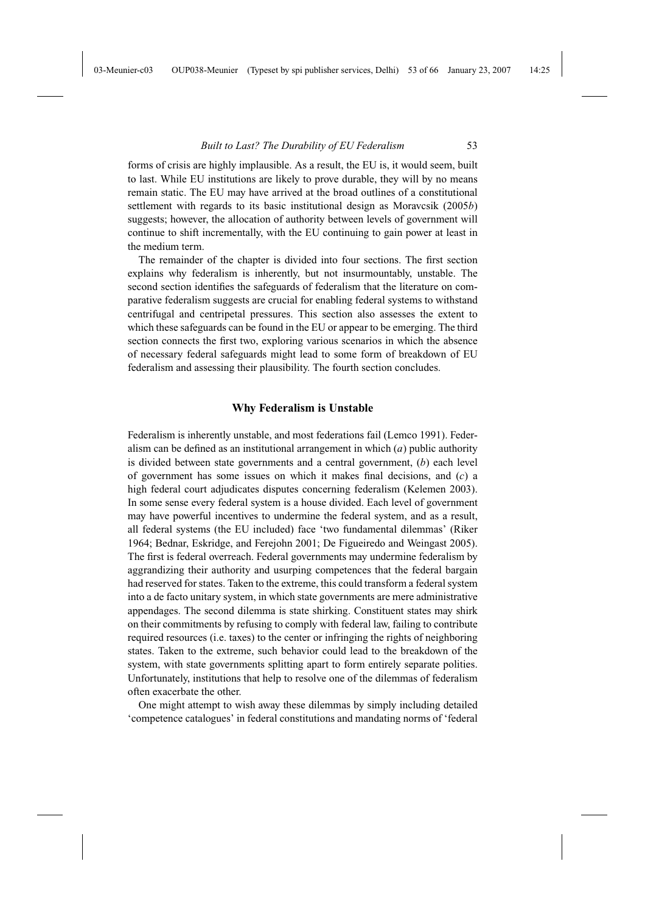forms of crisis are highly implausible. As a result, the EU is, it would seem, built to last. While EU institutions are likely to prove durable, they will by no means remain static. The EU may have arrived at the broad outlines of a constitutional settlement with regards to its basic institutional design as Moravcsik (2005*b*) suggests; however, the allocation of authority between levels of government will continue to shift incrementally, with the EU continuing to gain power at least in the medium term.

The remainder of the chapter is divided into four sections. The first section explains why federalism is inherently, but not insurmountably, unstable. The second section identifies the safeguards of federalism that the literature on comparative federalism suggests are crucial for enabling federal systems to withstand centrifugal and centripetal pressures. This section also assesses the extent to which these safeguards can be found in the EU or appear to be emerging. The third section connects the first two, exploring various scenarios in which the absence of necessary federal safeguards might lead to some form of breakdown of EU federalism and assessing their plausibility. The fourth section concludes.

# **Why Federalism is Unstable**

Federalism is inherently unstable, and most federations fail (Lemco 1991). Federalism can be defined as an institutional arrangement in which (*a*) public authority is divided between state governments and a central government, (*b*) each level of government has some issues on which it makes final decisions, and (*c*) a high federal court adjudicates disputes concerning federalism (Kelemen 2003). In some sense every federal system is a house divided. Each level of government may have powerful incentives to undermine the federal system, and as a result, all federal systems (the EU included) face 'two fundamental dilemmas' (Riker 1964; Bednar, Eskridge, and Ferejohn 2001; De Figueiredo and Weingast 2005). The first is federal overreach. Federal governments may undermine federalism by aggrandizing their authority and usurping competences that the federal bargain had reserved for states. Taken to the extreme, this could transform a federal system into a de facto unitary system, in which state governments are mere administrative appendages. The second dilemma is state shirking. Constituent states may shirk on their commitments by refusing to comply with federal law, failing to contribute required resources (i.e. taxes) to the center or infringing the rights of neighboring states. Taken to the extreme, such behavior could lead to the breakdown of the system, with state governments splitting apart to form entirely separate polities. Unfortunately, institutions that help to resolve one of the dilemmas of federalism often exacerbate the other.

One might attempt to wish away these dilemmas by simply including detailed 'competence catalogues' in federal constitutions and mandating norms of 'federal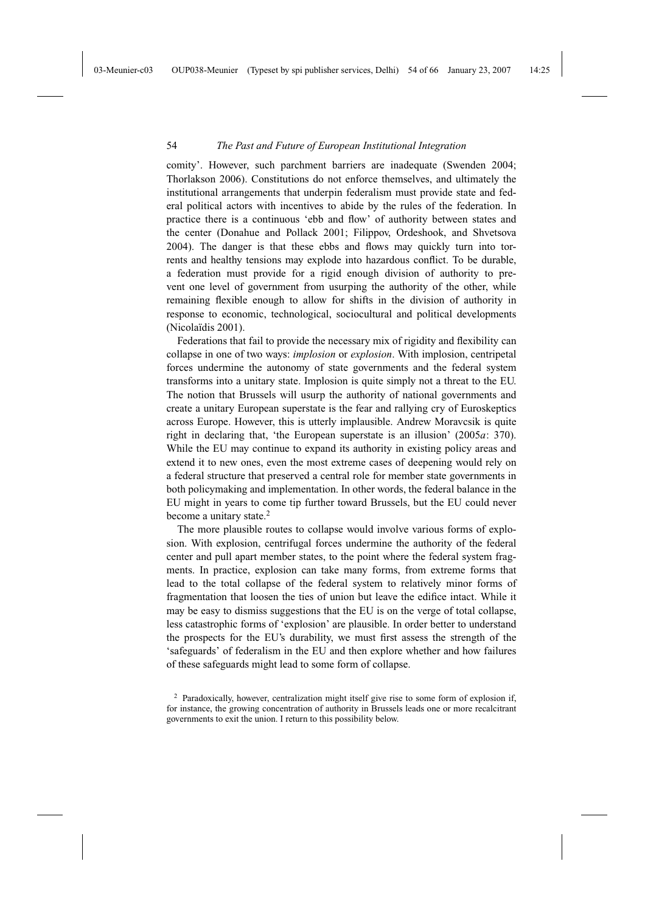comity'. However, such parchment barriers are inadequate (Swenden 2004; Thorlakson 2006). Constitutions do not enforce themselves, and ultimately the institutional arrangements that underpin federalism must provide state and federal political actors with incentives to abide by the rules of the federation. In practice there is a continuous 'ebb and flow' of authority between states and the center (Donahue and Pollack 2001; Filippov, Ordeshook, and Shvetsova 2004). The danger is that these ebbs and flows may quickly turn into torrents and healthy tensions may explode into hazardous conflict. To be durable, a federation must provide for a rigid enough division of authority to prevent one level of government from usurping the authority of the other, while remaining flexible enough to allow for shifts in the division of authority in response to economic, technological, sociocultural and political developments (Nicolaïdis 2001).

Federations that fail to provide the necessary mix of rigidity and flexibility can collapse in one of two ways: *implosion* or *explosion*. With implosion, centripetal forces undermine the autonomy of state governments and the federal system transforms into a unitary state. Implosion is quite simply not a threat to the EU. The notion that Brussels will usurp the authority of national governments and create a unitary European superstate is the fear and rallying cry of Euroskeptics across Europe. However, this is utterly implausible. Andrew Moravcsik is quite right in declaring that, 'the European superstate is an illusion' (2005*a*: 370). While the EU may continue to expand its authority in existing policy areas and extend it to new ones, even the most extreme cases of deepening would rely on a federal structure that preserved a central role for member state governments in both policymaking and implementation. In other words, the federal balance in the EU might in years to come tip further toward Brussels, but the EU could never become a unitary state. $<sup>2</sup>$ </sup>

The more plausible routes to collapse would involve various forms of explosion. With explosion, centrifugal forces undermine the authority of the federal center and pull apart member states, to the point where the federal system fragments. In practice, explosion can take many forms, from extreme forms that lead to the total collapse of the federal system to relatively minor forms of fragmentation that loosen the ties of union but leave the edifice intact. While it may be easy to dismiss suggestions that the EU is on the verge of total collapse, less catastrophic forms of 'explosion' are plausible. In order better to understand the prospects for the EU's durability, we must first assess the strength of the 'safeguards' of federalism in the EU and then explore whether and how failures of these safeguards might lead to some form of collapse.

<sup>&</sup>lt;sup>2</sup> Paradoxically, however, centralization might itself give rise to some form of explosion if, for instance, the growing concentration of authority in Brussels leads one or more recalcitrant governments to exit the union. I return to this possibility below.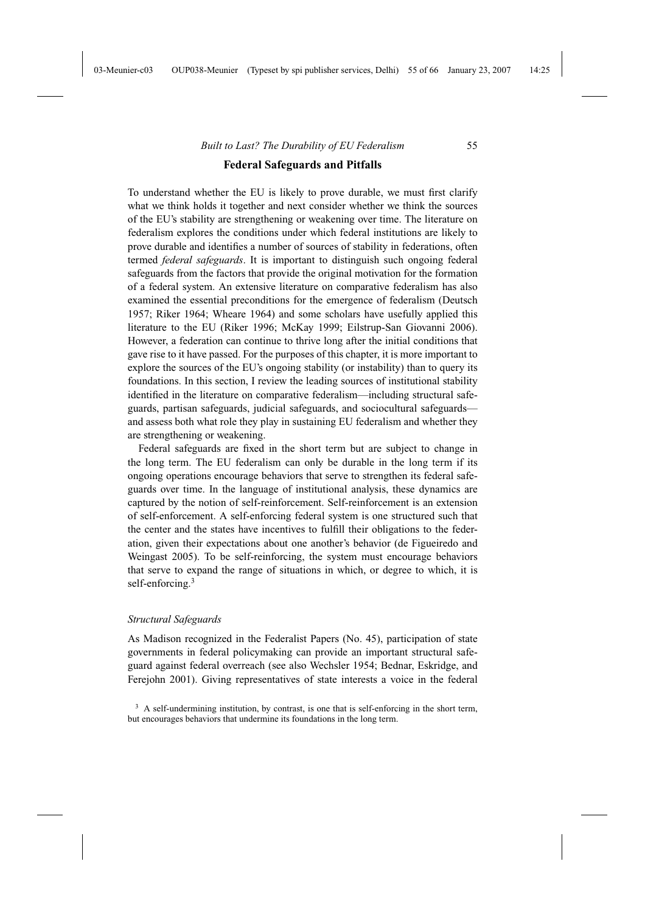#### **Federal Safeguards and Pitfalls**

To understand whether the EU is likely to prove durable, we must first clarify what we think holds it together and next consider whether we think the sources of the EU's stability are strengthening or weakening over time. The literature on federalism explores the conditions under which federal institutions are likely to prove durable and identifies a number of sources of stability in federations, often termed *federal safeguards*. It is important to distinguish such ongoing federal safeguards from the factors that provide the original motivation for the formation of a federal system. An extensive literature on comparative federalism has also examined the essential preconditions for the emergence of federalism (Deutsch 1957; Riker 1964; Wheare 1964) and some scholars have usefully applied this literature to the EU (Riker 1996; McKay 1999; Eilstrup-San Giovanni 2006). However, a federation can continue to thrive long after the initial conditions that gave rise to it have passed. For the purposes of this chapter, it is more important to explore the sources of the EU's ongoing stability (or instability) than to query its foundations. In this section, I review the leading sources of institutional stability identified in the literature on comparative federalism—including structural safeguards, partisan safeguards, judicial safeguards, and sociocultural safeguards and assess both what role they play in sustaining EU federalism and whether they are strengthening or weakening.

Federal safeguards are fixed in the short term but are subject to change in the long term. The EU federalism can only be durable in the long term if its ongoing operations encourage behaviors that serve to strengthen its federal safeguards over time. In the language of institutional analysis, these dynamics are captured by the notion of self-reinforcement. Self-reinforcement is an extension of self-enforcement. A self-enforcing federal system is one structured such that the center and the states have incentives to fulfill their obligations to the federation, given their expectations about one another's behavior (de Figueiredo and Weingast 2005). To be self-reinforcing, the system must encourage behaviors that serve to expand the range of situations in which, or degree to which, it is self-enforcing.<sup>3</sup>

#### *Structural Safeguards*

As Madison recognized in the Federalist Papers (No. 45), participation of state governments in federal policymaking can provide an important structural safeguard against federal overreach (see also Wechsler 1954; Bednar, Eskridge, and Ferejohn 2001). Giving representatives of state interests a voice in the federal

 $3 \text{ A self-undermining institution, by contrast, is one that is self-enforcing in the short term, }$ but encourages behaviors that undermine its foundations in the long term.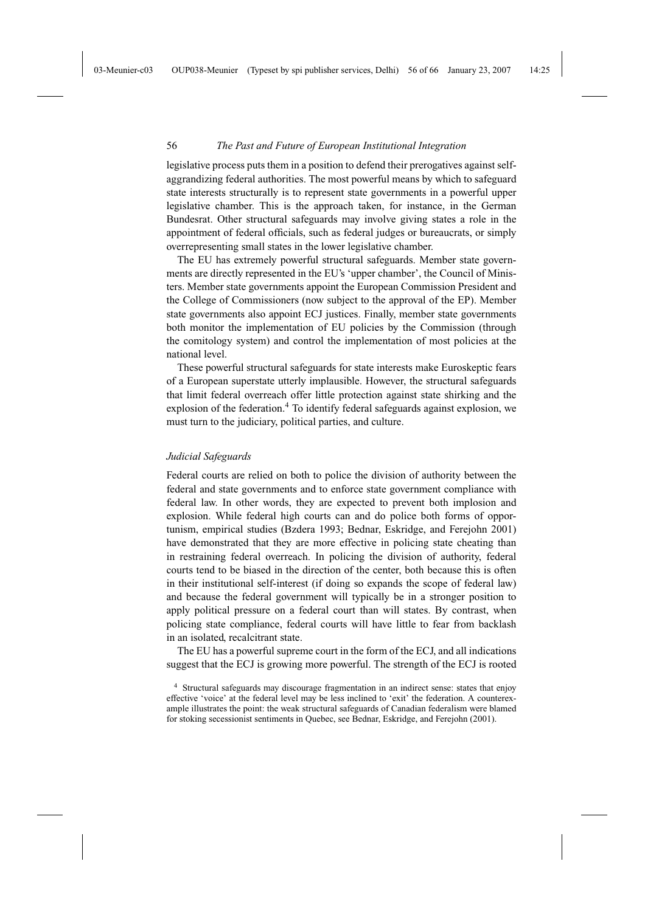legislative process puts them in a position to defend their prerogatives against selfaggrandizing federal authorities. The most powerful means by which to safeguard state interests structurally is to represent state governments in a powerful upper legislative chamber. This is the approach taken, for instance, in the German Bundesrat. Other structural safeguards may involve giving states a role in the appointment of federal officials, such as federal judges or bureaucrats, or simply overrepresenting small states in the lower legislative chamber.

The EU has extremely powerful structural safeguards. Member state governments are directly represented in the EU's 'upper chamber', the Council of Ministers. Member state governments appoint the European Commission President and the College of Commissioners (now subject to the approval of the EP). Member state governments also appoint ECJ justices. Finally, member state governments both monitor the implementation of EU policies by the Commission (through the comitology system) and control the implementation of most policies at the national level.

These powerful structural safeguards for state interests make Euroskeptic fears of a European superstate utterly implausible. However, the structural safeguards that limit federal overreach offer little protection against state shirking and the explosion of the federation.<sup>4</sup> To identify federal safeguards against explosion, we must turn to the judiciary, political parties, and culture.

#### *Judicial Safeguards*

Federal courts are relied on both to police the division of authority between the federal and state governments and to enforce state government compliance with federal law. In other words, they are expected to prevent both implosion and explosion. While federal high courts can and do police both forms of opportunism, empirical studies (Bzdera 1993; Bednar, Eskridge, and Ferejohn 2001) have demonstrated that they are more effective in policing state cheating than in restraining federal overreach. In policing the division of authority, federal courts tend to be biased in the direction of the center, both because this is often in their institutional self-interest (if doing so expands the scope of federal law) and because the federal government will typically be in a stronger position to apply political pressure on a federal court than will states. By contrast, when policing state compliance, federal courts will have little to fear from backlash in an isolated, recalcitrant state.

The EU has a powerful supreme court in the form of the ECJ, and all indications suggest that the ECJ is growing more powerful. The strength of the ECJ is rooted

<sup>4</sup> Structural safeguards may discourage fragmentation in an indirect sense: states that enjoy effective 'voice' at the federal level may be less inclined to 'exit' the federation. A counterexample illustrates the point: the weak structural safeguards of Canadian federalism were blamed for stoking secessionist sentiments in Quebec, see Bednar, Eskridge, and Ferejohn (2001).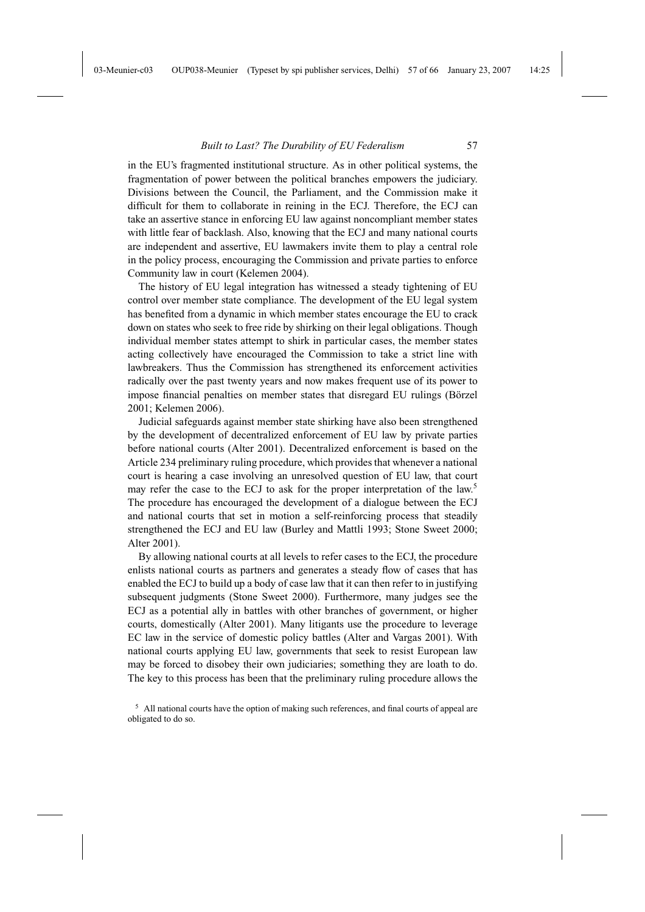in the EU's fragmented institutional structure. As in other political systems, the fragmentation of power between the political branches empowers the judiciary. Divisions between the Council, the Parliament, and the Commission make it difficult for them to collaborate in reining in the ECJ. Therefore, the ECJ can take an assertive stance in enforcing EU law against noncompliant member states with little fear of backlash. Also, knowing that the ECJ and many national courts are independent and assertive, EU lawmakers invite them to play a central role in the policy process, encouraging the Commission and private parties to enforce Community law in court (Kelemen 2004).

The history of EU legal integration has witnessed a steady tightening of EU control over member state compliance. The development of the EU legal system has benefited from a dynamic in which member states encourage the EU to crack down on states who seek to free ride by shirking on their legal obligations. Though individual member states attempt to shirk in particular cases, the member states acting collectively have encouraged the Commission to take a strict line with lawbreakers. Thus the Commission has strengthened its enforcement activities radically over the past twenty years and now makes frequent use of its power to impose financial penalties on member states that disregard EU rulings (Börzel 2001; Kelemen 2006).

Judicial safeguards against member state shirking have also been strengthened by the development of decentralized enforcement of EU law by private parties before national courts (Alter 2001). Decentralized enforcement is based on the Article 234 preliminary ruling procedure, which provides that whenever a national court is hearing a case involving an unresolved question of EU law, that court may refer the case to the ECJ to ask for the proper interpretation of the law.<sup>5</sup> The procedure has encouraged the development of a dialogue between the ECJ and national courts that set in motion a self-reinforcing process that steadily strengthened the ECJ and EU law (Burley and Mattli 1993; Stone Sweet 2000; Alter 2001).

By allowing national courts at all levels to refer cases to the ECJ, the procedure enlists national courts as partners and generates a steady flow of cases that has enabled the ECJ to build up a body of case law that it can then refer to in justifying subsequent judgments (Stone Sweet 2000). Furthermore, many judges see the ECJ as a potential ally in battles with other branches of government, or higher courts, domestically (Alter 2001). Many litigants use the procedure to leverage EC law in the service of domestic policy battles (Alter and Vargas 2001). With national courts applying EU law, governments that seek to resist European law may be forced to disobey their own judiciaries; something they are loath to do. The key to this process has been that the preliminary ruling procedure allows the

<sup>&</sup>lt;sup>5</sup> All national courts have the option of making such references, and final courts of appeal are obligated to do so.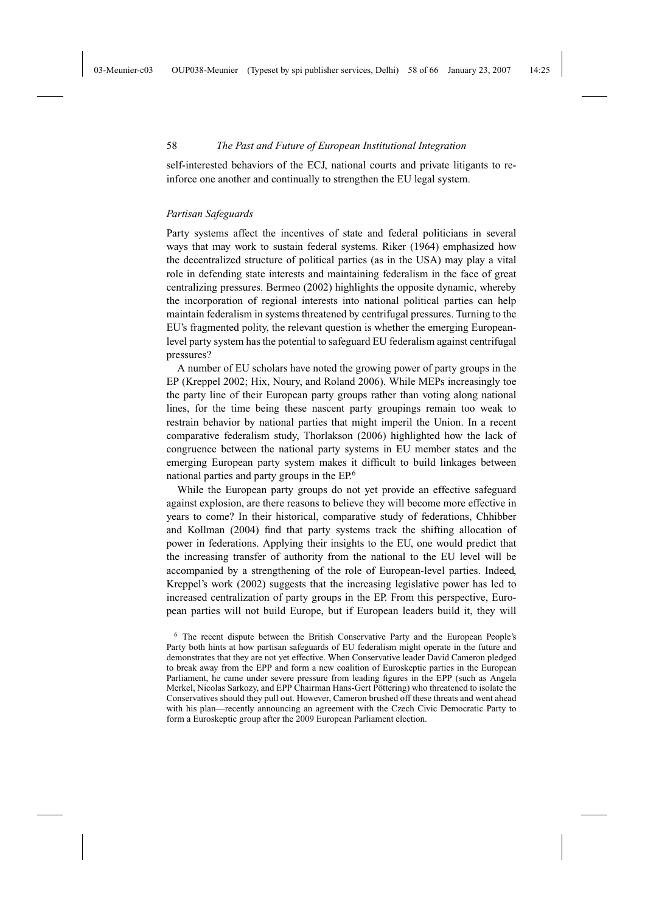self-interested behaviors of the ECJ, national courts and private litigants to reinforce one another and continually to strengthen the EU legal system.

# *Partisan Safeguards*

Party systems affect the incentives of state and federal politicians in several ways that may work to sustain federal systems. Riker (1964) emphasized how the decentralized structure of political parties (as in the USA) may play a vital role in defending state interests and maintaining federalism in the face of great centralizing pressures. Bermeo (2002) highlights the opposite dynamic, whereby the incorporation of regional interests into national political parties can help maintain federalism in systems threatened by centrifugal pressures. Turning to the EU's fragmented polity, the relevant question is whether the emerging Europeanlevel party system has the potential to safeguard EU federalism against centrifugal pressures?

A number of EU scholars have noted the growing power of party groups in the EP (Kreppel 2002; Hix, Noury, and Roland 2006). While MEPs increasingly toe the party line of their European party groups rather than voting along national lines, for the time being these nascent party groupings remain too weak to restrain behavior by national parties that might imperil the Union. In a recent comparative federalism study, Thorlakson (2006) highlighted how the lack of congruence between the national party systems in EU member states and the emerging European party system makes it difficult to build linkages between national parties and party groups in the EP.6

While the European party groups do not yet provide an effective safeguard against explosion, are there reasons to believe they will become more effective in years to come? In their historical, comparative study of federations, Chhibber and Kollman (2004) find that party systems track the shifting allocation of power in federations. Applying their insights to the EU, one would predict that the increasing transfer of authority from the national to the EU level will be accompanied by a strengthening of the role of European-level parties. Indeed, Kreppel's work (2002) suggests that the increasing legislative power has led to increased centralization of party groups in the EP. From this perspective, European parties will not build Europe, but if European leaders build it, they will

<sup>6</sup> The recent dispute between the British Conservative Party and the European People's Party both hints at how partisan safeguards of EU federalism might operate in the future and demonstrates that they are not yet effective. When Conservative leader David Cameron pledged to break away from the EPP and form a new coalition of Euroskeptic parties in the European Parliament, he came under severe pressure from leading figures in the EPP (such as Angela Merkel, Nicolas Sarkozy, and EPP Chairman Hans-Gert Pöttering) who threatened to isolate the Conservatives should they pull out. However, Cameron brushed off these threats and went ahead with his plan—recently announcing an agreement with the Czech Civic Democratic Party to form a Euroskeptic group after the 2009 European Parliament election.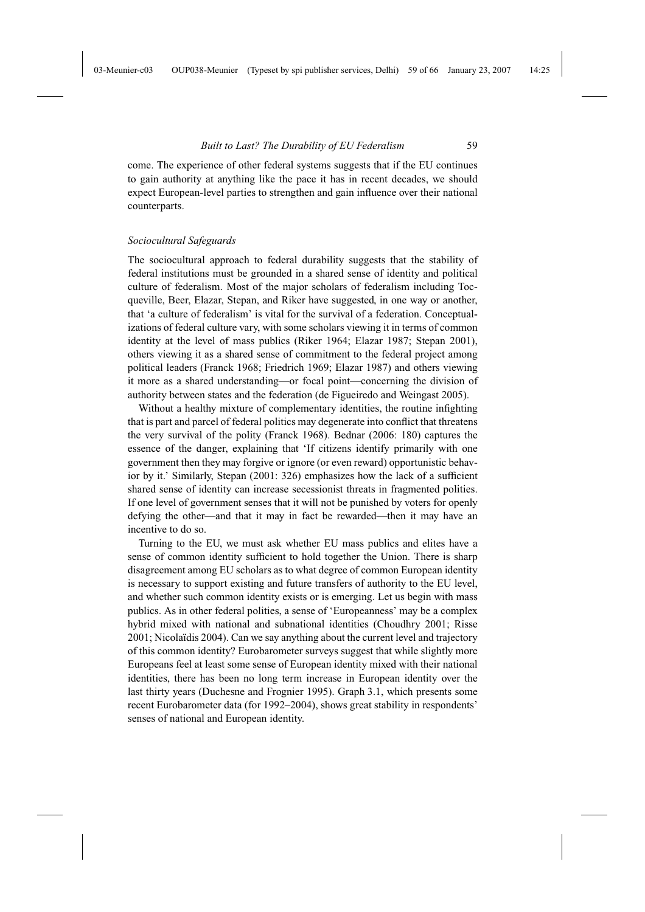come. The experience of other federal systems suggests that if the EU continues to gain authority at anything like the pace it has in recent decades, we should expect European-level parties to strengthen and gain influence over their national counterparts.

#### *Sociocultural Safeguards*

The sociocultural approach to federal durability suggests that the stability of federal institutions must be grounded in a shared sense of identity and political culture of federalism. Most of the major scholars of federalism including Tocqueville, Beer, Elazar, Stepan, and Riker have suggested, in one way or another, that 'a culture of federalism' is vital for the survival of a federation. Conceptualizations of federal culture vary, with some scholars viewing it in terms of common identity at the level of mass publics (Riker 1964; Elazar 1987; Stepan 2001), others viewing it as a shared sense of commitment to the federal project among political leaders (Franck 1968; Friedrich 1969; Elazar 1987) and others viewing it more as a shared understanding—or focal point—concerning the division of authority between states and the federation (de Figueiredo and Weingast 2005).

Without a healthy mixture of complementary identities, the routine infighting that is part and parcel of federal politics may degenerate into conflict that threatens the very survival of the polity (Franck 1968). Bednar (2006: 180) captures the essence of the danger, explaining that 'If citizens identify primarily with one government then they may forgive or ignore (or even reward) opportunistic behavior by it.' Similarly, Stepan (2001: 326) emphasizes how the lack of a sufficient shared sense of identity can increase secessionist threats in fragmented polities. If one level of government senses that it will not be punished by voters for openly defying the other—and that it may in fact be rewarded—then it may have an incentive to do so.

Turning to the EU, we must ask whether EU mass publics and elites have a sense of common identity sufficient to hold together the Union. There is sharp disagreement among EU scholars as to what degree of common European identity is necessary to support existing and future transfers of authority to the EU level, and whether such common identity exists or is emerging. Let us begin with mass publics. As in other federal polities, a sense of 'Europeanness' may be a complex hybrid mixed with national and subnational identities (Choudhry 2001; Risse 2001; Nicolaïdis 2004). Can we say anything about the current level and trajectory of this common identity? Eurobarometer surveys suggest that while slightly more Europeans feel at least some sense of European identity mixed with their national identities, there has been no long term increase in European identity over the last thirty years (Duchesne and Frognier 1995). Graph 3.1, which presents some recent Eurobarometer data (for 1992–2004), shows great stability in respondents' senses of national and European identity.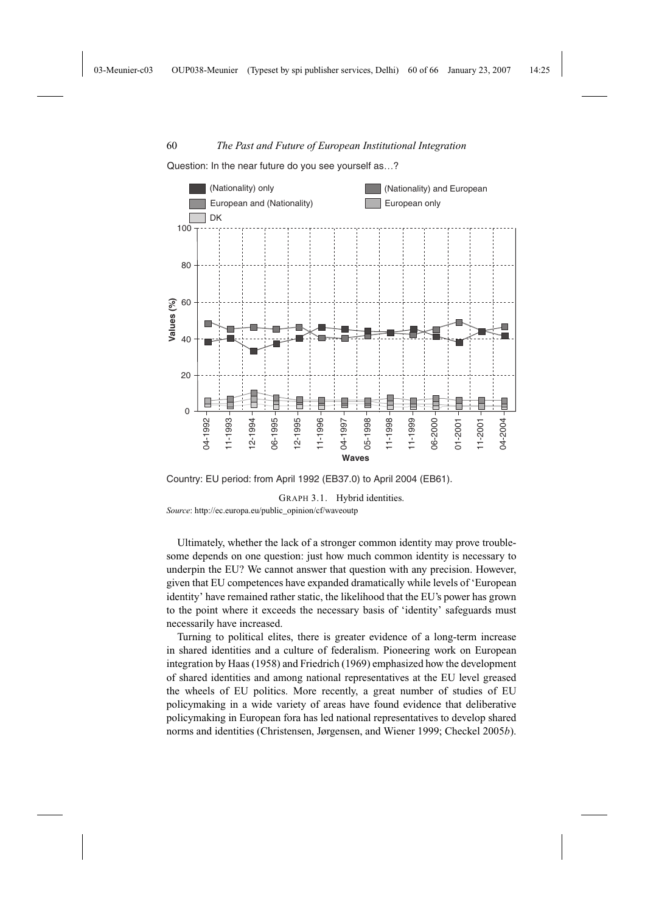Question: In the near future do you see yourself as…?



Country: EU period: from April 1992 (EB37.0) to April 2004 (EB61).

GRAPH 3.1. Hybrid identities. *Source*: http://ec.europa.eu/public\_opinion/cf/waveoutp

Ultimately, whether the lack of a stronger common identity may prove troublesome depends on one question: just how much common identity is necessary to underpin the EU? We cannot answer that question with any precision. However, given that EU competences have expanded dramatically while levels of 'European identity' have remained rather static, the likelihood that the EU's power has grown to the point where it exceeds the necessary basis of 'identity' safeguards must necessarily have increased.

Turning to political elites, there is greater evidence of a long-term increase in shared identities and a culture of federalism. Pioneering work on European integration by Haas (1958) and Friedrich (1969) emphasized how the development of shared identities and among national representatives at the EU level greased the wheels of EU politics. More recently, a great number of studies of EU policymaking in a wide variety of areas have found evidence that deliberative policymaking in European fora has led national representatives to develop shared norms and identities (Christensen, Jørgensen, and Wiener 1999; Checkel 2005*b*).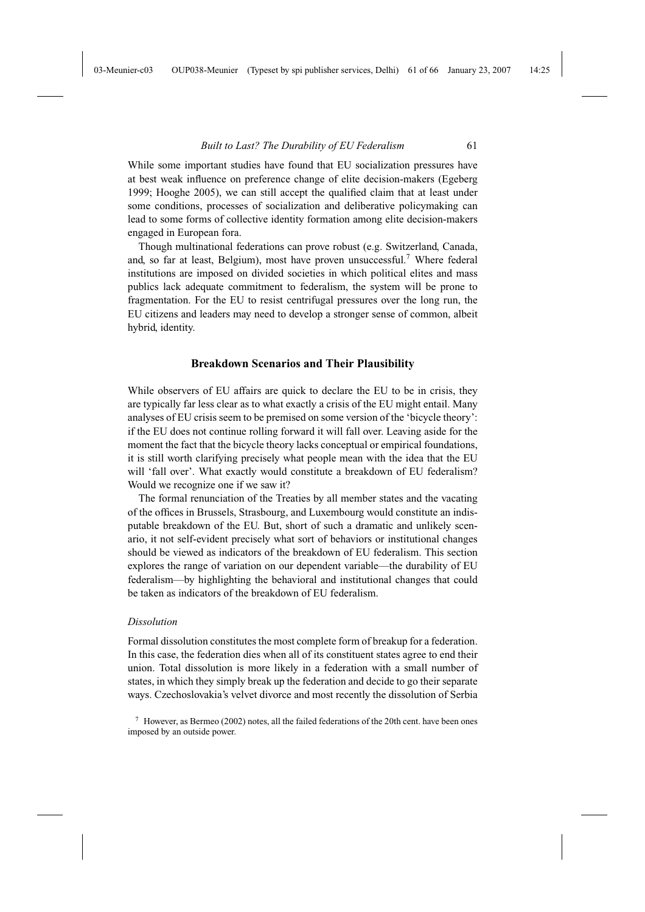While some important studies have found that EU socialization pressures have at best weak influence on preference change of elite decision-makers (Egeberg 1999; Hooghe 2005), we can still accept the qualified claim that at least under some conditions, processes of socialization and deliberative policymaking can lead to some forms of collective identity formation among elite decision-makers engaged in European fora.

Though multinational federations can prove robust (e.g. Switzerland, Canada, and, so far at least, Belgium), most have proven unsuccessful.<sup>7</sup> Where federal institutions are imposed on divided societies in which political elites and mass publics lack adequate commitment to federalism, the system will be prone to fragmentation. For the EU to resist centrifugal pressures over the long run, the EU citizens and leaders may need to develop a stronger sense of common, albeit hybrid, identity.

#### **Breakdown Scenarios and Their Plausibility**

While observers of EU affairs are quick to declare the EU to be in crisis, they are typically far less clear as to what exactly a crisis of the EU might entail. Many analyses of EU crisis seem to be premised on some version of the 'bicycle theory': if the EU does not continue rolling forward it will fall over. Leaving aside for the moment the fact that the bicycle theory lacks conceptual or empirical foundations, it is still worth clarifying precisely what people mean with the idea that the EU will 'fall over'. What exactly would constitute a breakdown of EU federalism? Would we recognize one if we saw it?

The formal renunciation of the Treaties by all member states and the vacating of the offices in Brussels, Strasbourg, and Luxembourg would constitute an indisputable breakdown of the EU. But, short of such a dramatic and unlikely scenario, it not self-evident precisely what sort of behaviors or institutional changes should be viewed as indicators of the breakdown of EU federalism. This section explores the range of variation on our dependent variable—the durability of EU federalism—by highlighting the behavioral and institutional changes that could be taken as indicators of the breakdown of EU federalism.

# *Dissolution*

Formal dissolution constitutes the most complete form of breakup for a federation. In this case, the federation dies when all of its constituent states agree to end their union. Total dissolution is more likely in a federation with a small number of states, in which they simply break up the federation and decide to go their separate ways. Czechoslovakia's velvet divorce and most recently the dissolution of Serbia

<sup>7</sup> However, as Bermeo (2002) notes, all the failed federations of the 20th cent. have been ones imposed by an outside power.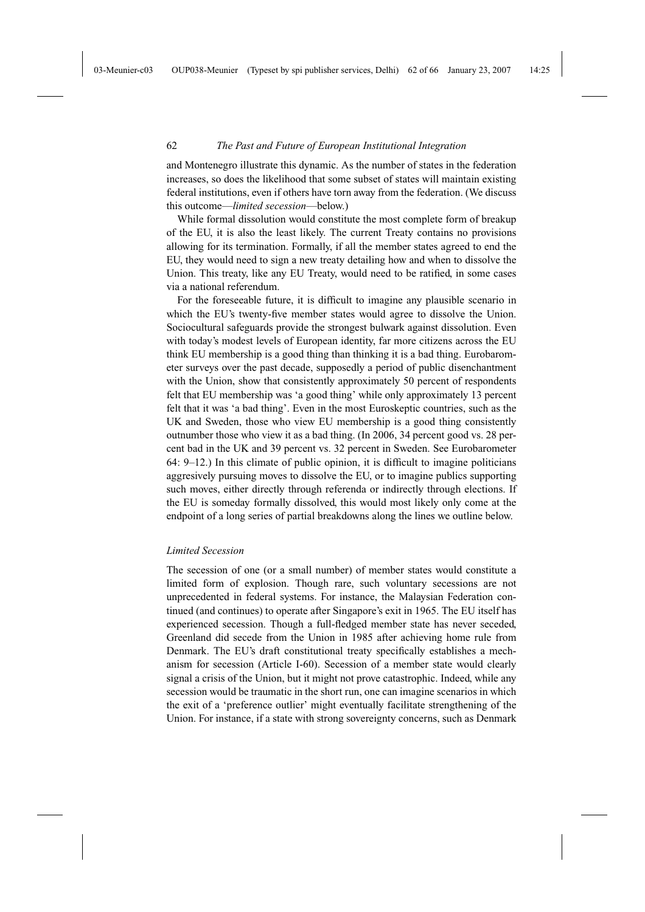and Montenegro illustrate this dynamic. As the number of states in the federation increases, so does the likelihood that some subset of states will maintain existing federal institutions, even if others have torn away from the federation. (We discuss this outcome—*limited secession*—below.)

While formal dissolution would constitute the most complete form of breakup of the EU, it is also the least likely. The current Treaty contains no provisions allowing for its termination. Formally, if all the member states agreed to end the EU, they would need to sign a new treaty detailing how and when to dissolve the Union. This treaty, like any EU Treaty, would need to be ratified, in some cases via a national referendum.

For the foreseeable future, it is difficult to imagine any plausible scenario in which the EU's twenty-five member states would agree to dissolve the Union. Sociocultural safeguards provide the strongest bulwark against dissolution. Even with today's modest levels of European identity, far more citizens across the EU think EU membership is a good thing than thinking it is a bad thing. Eurobarometer surveys over the past decade, supposedly a period of public disenchantment with the Union, show that consistently approximately 50 percent of respondents felt that EU membership was 'a good thing' while only approximately 13 percent felt that it was 'a bad thing'. Even in the most Euroskeptic countries, such as the UK and Sweden, those who view EU membership is a good thing consistently outnumber those who view it as a bad thing. (In 2006, 34 percent good vs. 28 percent bad in the UK and 39 percent vs. 32 percent in Sweden. See Eurobarometer 64: 9–12.) In this climate of public opinion, it is difficult to imagine politicians aggresively pursuing moves to dissolve the EU, or to imagine publics supporting such moves, either directly through referenda or indirectly through elections. If the EU is someday formally dissolved, this would most likely only come at the endpoint of a long series of partial breakdowns along the lines we outline below.

#### *Limited Secession*

The secession of one (or a small number) of member states would constitute a limited form of explosion. Though rare, such voluntary secessions are not unprecedented in federal systems. For instance, the Malaysian Federation continued (and continues) to operate after Singapore's exit in 1965. The EU itself has experienced secession. Though a full-fledged member state has never seceded, Greenland did secede from the Union in 1985 after achieving home rule from Denmark. The EU's draft constitutional treaty specifically establishes a mechanism for secession (Article I-60). Secession of a member state would clearly signal a crisis of the Union, but it might not prove catastrophic. Indeed, while any secession would be traumatic in the short run, one can imagine scenarios in which the exit of a 'preference outlier' might eventually facilitate strengthening of the Union. For instance, if a state with strong sovereignty concerns, such as Denmark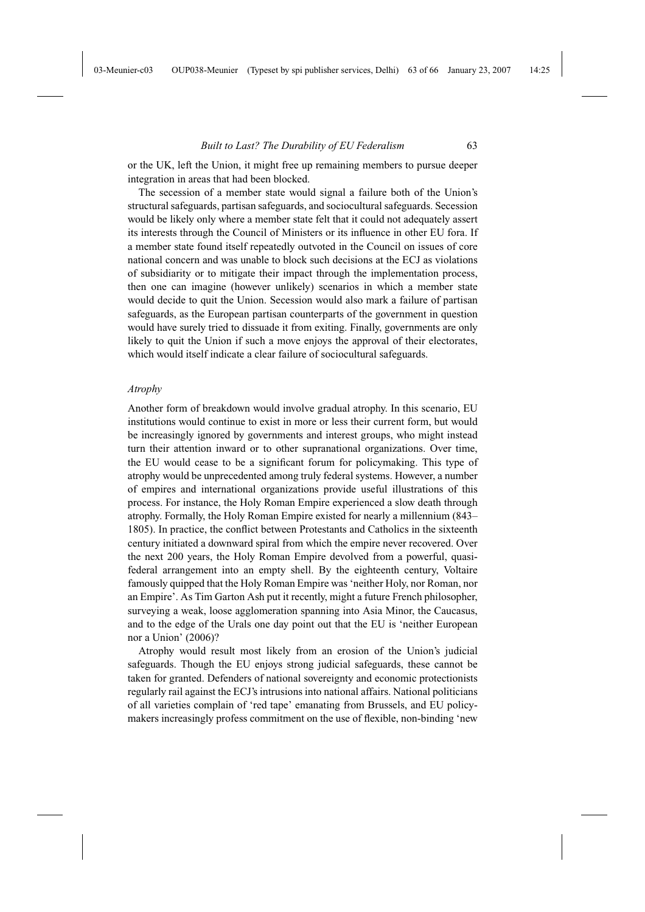or the UK, left the Union, it might free up remaining members to pursue deeper integration in areas that had been blocked.

The secession of a member state would signal a failure both of the Union's structural safeguards, partisan safeguards, and sociocultural safeguards. Secession would be likely only where a member state felt that it could not adequately assert its interests through the Council of Ministers or its influence in other EU fora. If a member state found itself repeatedly outvoted in the Council on issues of core national concern and was unable to block such decisions at the ECJ as violations of subsidiarity or to mitigate their impact through the implementation process, then one can imagine (however unlikely) scenarios in which a member state would decide to quit the Union. Secession would also mark a failure of partisan safeguards, as the European partisan counterparts of the government in question would have surely tried to dissuade it from exiting. Finally, governments are only likely to quit the Union if such a move enjoys the approval of their electorates, which would itself indicate a clear failure of sociocultural safeguards.

#### *Atrophy*

Another form of breakdown would involve gradual atrophy. In this scenario, EU institutions would continue to exist in more or less their current form, but would be increasingly ignored by governments and interest groups, who might instead turn their attention inward or to other supranational organizations. Over time, the EU would cease to be a significant forum for policymaking. This type of atrophy would be unprecedented among truly federal systems. However, a number of empires and international organizations provide useful illustrations of this process. For instance, the Holy Roman Empire experienced a slow death through atrophy. Formally, the Holy Roman Empire existed for nearly a millennium (843– 1805). In practice, the conflict between Protestants and Catholics in the sixteenth century initiated a downward spiral from which the empire never recovered. Over the next 200 years, the Holy Roman Empire devolved from a powerful, quasifederal arrangement into an empty shell. By the eighteenth century, Voltaire famously quipped that the Holy Roman Empire was 'neither Holy, nor Roman, nor an Empire'. As Tim Garton Ash put it recently, might a future French philosopher, surveying a weak, loose agglomeration spanning into Asia Minor, the Caucasus, and to the edge of the Urals one day point out that the EU is 'neither European nor a Union' (2006)?

Atrophy would result most likely from an erosion of the Union's judicial safeguards. Though the EU enjoys strong judicial safeguards, these cannot be taken for granted. Defenders of national sovereignty and economic protectionists regularly rail against the ECJ's intrusions into national affairs. National politicians of all varieties complain of 'red tape' emanating from Brussels, and EU policymakers increasingly profess commitment on the use of flexible, non-binding 'new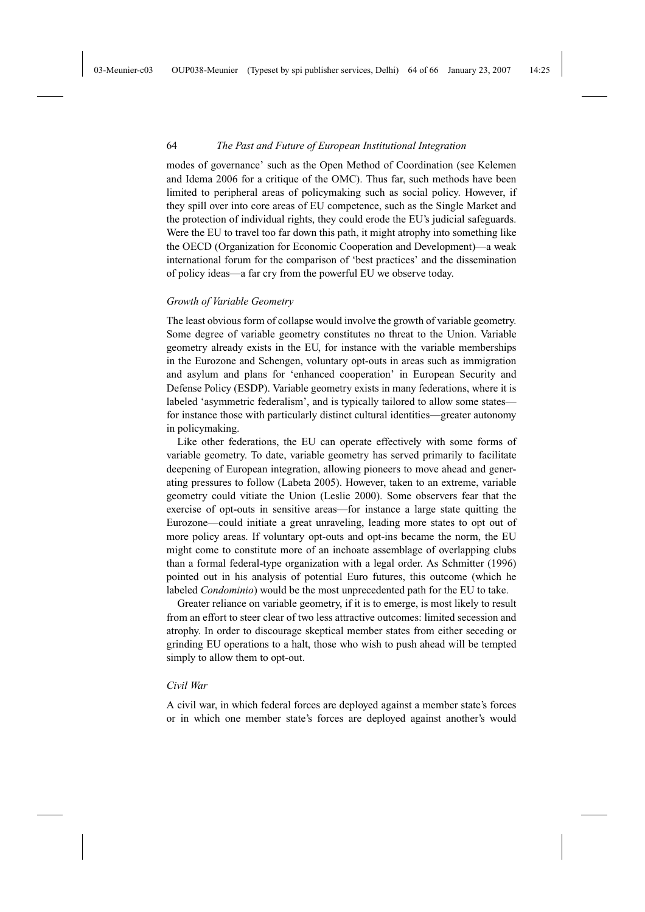modes of governance' such as the Open Method of Coordination (see Kelemen and Idema 2006 for a critique of the OMC). Thus far, such methods have been limited to peripheral areas of policymaking such as social policy. However, if they spill over into core areas of EU competence, such as the Single Market and the protection of individual rights, they could erode the EU's judicial safeguards. Were the EU to travel too far down this path, it might atrophy into something like the OECD (Organization for Economic Cooperation and Development)—a weak international forum for the comparison of 'best practices' and the dissemination of policy ideas—a far cry from the powerful EU we observe today.

# *Growth of Variable Geometry*

The least obvious form of collapse would involve the growth of variable geometry. Some degree of variable geometry constitutes no threat to the Union. Variable geometry already exists in the EU, for instance with the variable memberships in the Eurozone and Schengen, voluntary opt-outs in areas such as immigration and asylum and plans for 'enhanced cooperation' in European Security and Defense Policy (ESDP). Variable geometry exists in many federations, where it is labeled 'asymmetric federalism', and is typically tailored to allow some states for instance those with particularly distinct cultural identities—greater autonomy in policymaking.

Like other federations, the EU can operate effectively with some forms of variable geometry. To date, variable geometry has served primarily to facilitate deepening of European integration, allowing pioneers to move ahead and generating pressures to follow (Labeta 2005). However, taken to an extreme, variable geometry could vitiate the Union (Leslie 2000). Some observers fear that the exercise of opt-outs in sensitive areas—for instance a large state quitting the Eurozone—could initiate a great unraveling, leading more states to opt out of more policy areas. If voluntary opt-outs and opt-ins became the norm, the EU might come to constitute more of an inchoate assemblage of overlapping clubs than a formal federal-type organization with a legal order. As Schmitter (1996) pointed out in his analysis of potential Euro futures, this outcome (which he labeled *Condominio*) would be the most unprecedented path for the EU to take.

Greater reliance on variable geometry, if it is to emerge, is most likely to result from an effort to steer clear of two less attractive outcomes: limited secession and atrophy. In order to discourage skeptical member states from either seceding or grinding EU operations to a halt, those who wish to push ahead will be tempted simply to allow them to opt-out.

### *Civil War*

A civil war, in which federal forces are deployed against a member state's forces or in which one member state's forces are deployed against another's would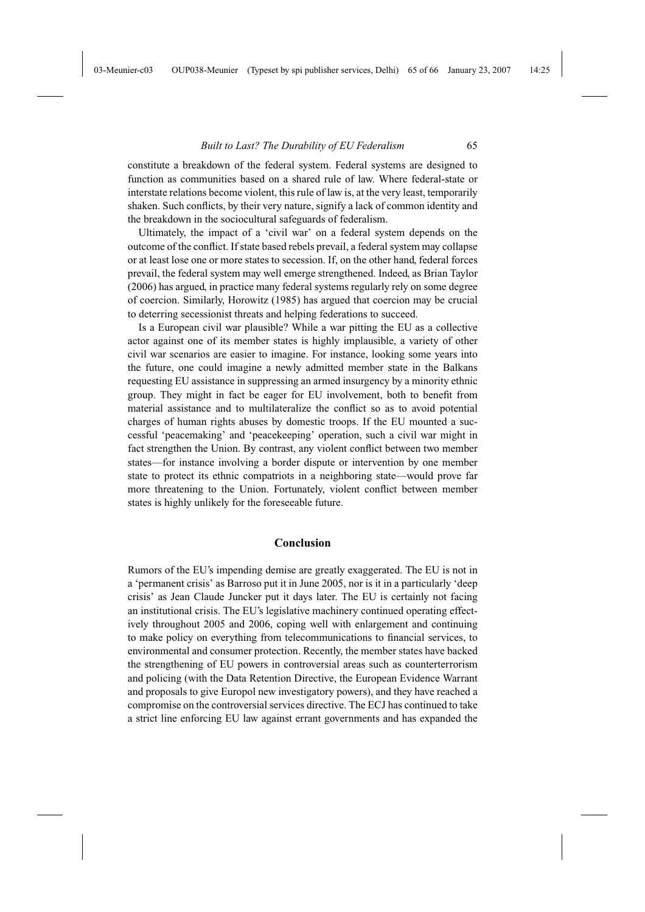constitute a breakdown of the federal system. Federal systems are designed to function as communities based on a shared rule of law. Where federal-state or interstate relations become violent, this rule of law is, at the very least, temporarily shaken. Such conflicts, by their very nature, signify a lack of common identity and the breakdown in the sociocultural safeguards of federalism.

Ultimately, the impact of a 'civil war' on a federal system depends on the outcome of the conflict. If state based rebels prevail, a federal system may collapse or at least lose one or more states to secession. If, on the other hand, federal forces prevail, the federal system may well emerge strengthened. Indeed, as Brian Taylor (2006) has argued, in practice many federal systems regularly rely on some degree of coercion. Similarly, Horowitz (1985) has argued that coercion may be crucial to deterring secessionist threats and helping federations to succeed.

Is a European civil war plausible? While a war pitting the EU as a collective actor against one of its member states is highly implausible, a variety of other civil war scenarios are easier to imagine. For instance, looking some years into the future, one could imagine a newly admitted member state in the Balkans requesting EU assistance in suppressing an armed insurgency by a minority ethnic group. They might in fact be eager for EU involvement, both to benefit from material assistance and to multilateralize the conflict so as to avoid potential charges of human rights abuses by domestic troops. If the EU mounted a successful 'peacemaking' and 'peacekeeping' operation, such a civil war might in fact strengthen the Union. By contrast, any violent conflict between two member states—for instance involving a border dispute or intervention by one member state to protect its ethnic compatriots in a neighboring state—would prove far more threatening to the Union. Fortunately, violent conflict between member states is highly unlikely for the foreseeable future.

# **Conclusion**

Rumors of the EU's impending demise are greatly exaggerated. The EU is not in a 'permanent crisis' as Barroso put it in June 2005, nor is it in a particularly 'deep crisis' as Jean Claude Juncker put it days later. The EU is certainly not facing an institutional crisis. The EU's legislative machinery continued operating effectively throughout 2005 and 2006, coping well with enlargement and continuing to make policy on everything from telecommunications to financial services, to environmental and consumer protection. Recently, the member states have backed the strengthening of EU powers in controversial areas such as counterterrorism and policing (with the Data Retention Directive, the European Evidence Warrant and proposals to give Europol new investigatory powers), and they have reached a compromise on the controversial services directive. The ECJ has continued to take a strict line enforcing EU law against errant governments and has expanded the